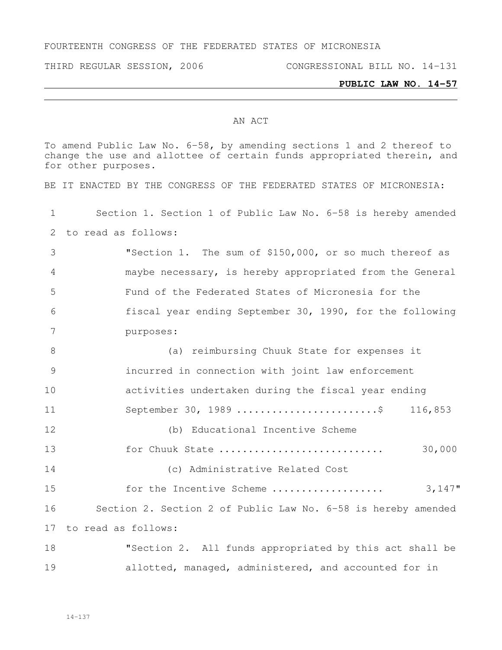FOURTEENTH CONGRESS OF THE FEDERATED STATES OF MICRONESIA

THIRD REGULAR SESSION, 2006 CONGRESSIONAL BILL NO. 14-131

## **PUBLIC LAW NO. 14-57**

## AN ACT

To amend Public Law No. 6-58, by amending sections 1 and 2 thereof to change the use and allottee of certain funds appropriated therein, and for other purposes.

BE IT ENACTED BY THE CONGRESS OF THE FEDERATED STATES OF MICRONESIA:

 Section 1. Section 1 of Public Law No. 6-58 is hereby amended to read as follows:

 "Section 1. The sum of \$150,000, or so much thereof as maybe necessary, is hereby appropriated from the General Fund of the Federated States of Micronesia for the fiscal year ending September 30, 1990, for the following purposes:

 (a) reimbursing Chuuk State for expenses it incurred in connection with joint law enforcement activities undertaken during the fiscal year ending September 30, 1989 ........................\$ 116,853 (b) Educational Incentive Scheme

 for Chuuk State ............................ 30,000 (c) Administrative Related Cost

 for the Incentive Scheme ................... 3,147" Section 2. Section 2 of Public Law No. 6-58 is hereby amended to read as follows:

 "Section 2. All funds appropriated by this act shall be allotted, managed, administered, and accounted for in